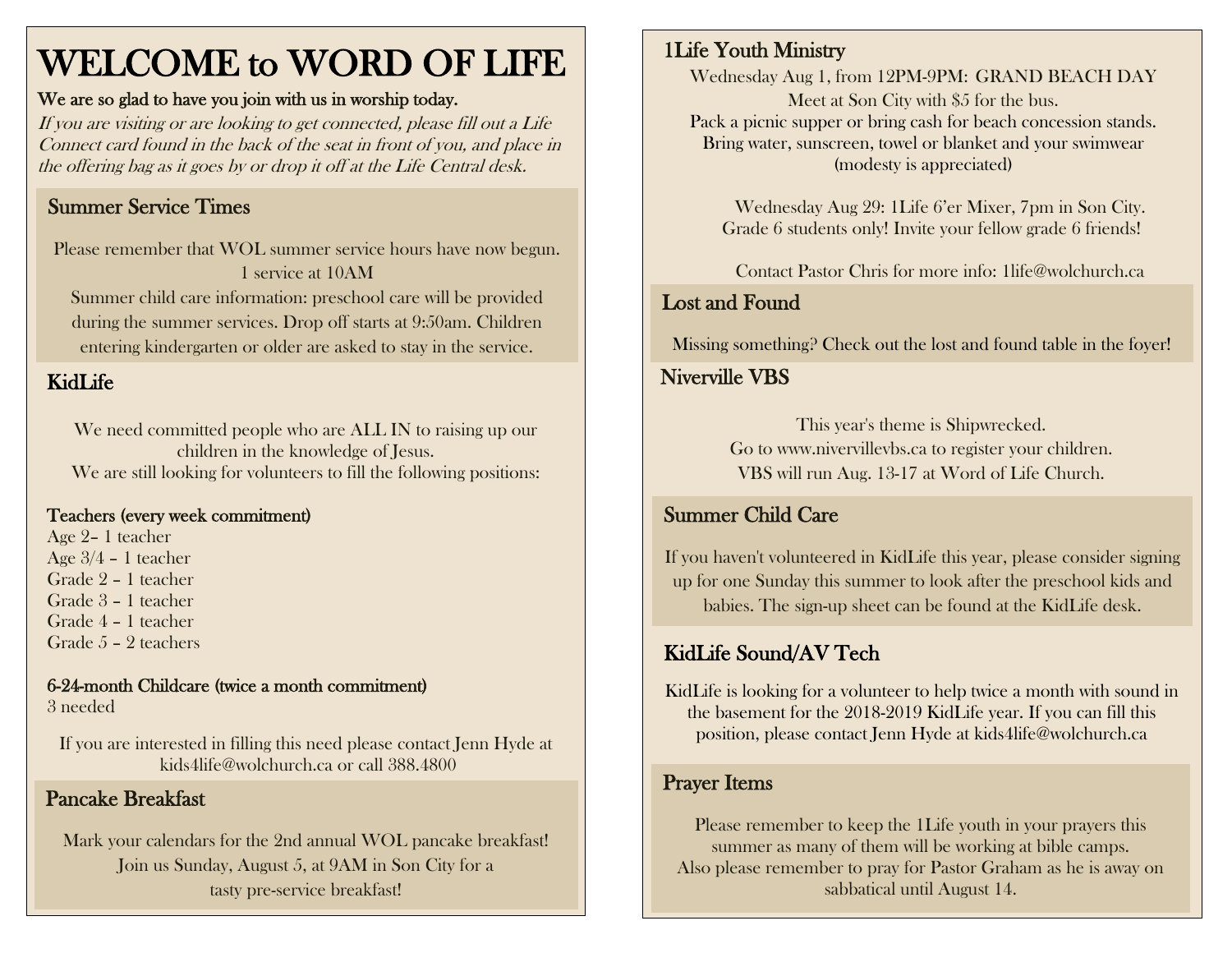## WELCOME to WORD OF LIFE

#### We are so glad to have you join with us in worship today.

If you are visiting or are looking to get connected, please fill out a Life Connect card found in the back of the seat in front of you, and place in the offering bag as it goes by or drop it off at the Life Central desk.

## Summer Service Times

Please remember that WOL summer service hours have now begun. 1 service at 10AM Summer child care information: preschool care will be provided

during the summer services. Drop off starts at 9:50am. Children entering kindergarten or older are asked to stay in the service.

## KidLife

We need committed people who are ALL IN to raising up our children in the knowledge of Jesus. We are still looking for volunteers to fill the following positions:

#### Teachers (every week commitment)

 Age 2– 1 teacher Age 3/4 – 1 teacher Grade 2 – 1 teacher Grade 3 – 1 teacher Grade 4 – 1 teacher Grade 5 – 2 teachers

6-24-month Childcare (twice a month commitment) 3 needed

If you are interested in filling this need please contact Jenn Hyde at [kids4life@wolchurch.ca](mailto:kids4life@wolchurch.ca) or call 388.4800

### Pancake Breakfast

Mark your calendars for the 2nd annual WOL pancake breakfast! Join us Sunday, August 5, at 9AM in Son City for a tasty pre-service breakfast!

## 1Life Youth Ministry

Wednesday Aug 1, from 12PM-9PM: GRAND BEACH DAY Meet at Son City with \$5 for the bus. Pack a picnic supper or bring cash for beach concession stands. Bring water, sunscreen, towel or blanket and your swimwear (modesty is appreciated)

Wednesday Aug 29: 1Life 6'er Mixer, 7pm in Son City. Grade 6 students only! Invite your fellow grade 6 friends!

Contact Pastor Chris for more info: [1life@wolchurch.ca](mailto:1life@wolchurch.ca)

## Lost and Found

Missing something? Check out the lost and found table in the foyer!

## Niverville VBS

This year's theme is Shipwrecked. Go to www.nivervillevbs.ca to register your children. VBS will run Aug. 13-17 at Word of Life Church.

## Summer Child Care

If you haven't volunteered in KidLife this year, please consider signing up for one Sunday this summer to look after the preschool kids and babies. The sign-up sheet can be found at the KidLife desk.

## KidLife Sound/AV Tech

KidLife is looking for a volunteer to help twice a month with sound in the basement for the 2018-2019 KidLife year. If you can fill this position, please contact Jenn Hyde at [kids4life@wolchurch.ca](mailto:kids4life@wolchurch.ca)

#### Prayer Items

Please remember to keep the 1Life youth in your prayers this summer as many of them will be working at bible camps. Also please remember to pray for Pastor Graham as he is away on sabbatical until August 14.